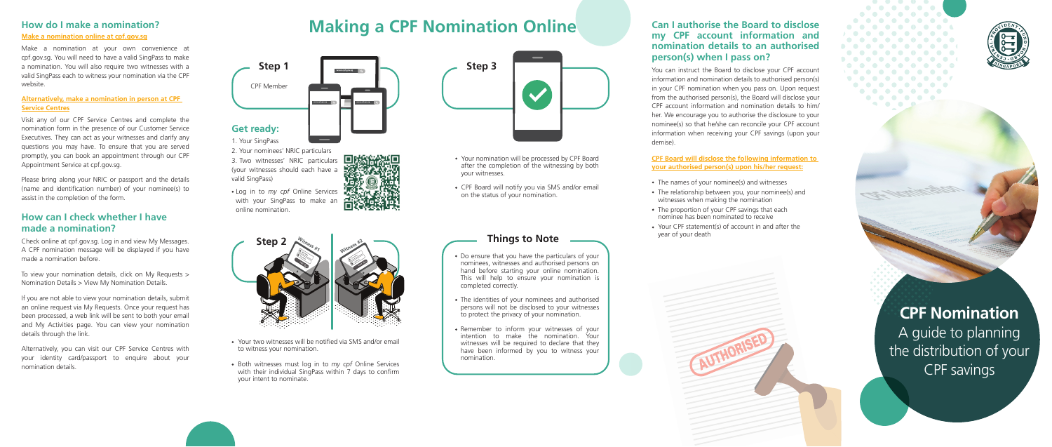**CPF Nomination** A guide to planning the distribution of your CPF savings

**CAF Northwester** 

Make a nomination at your own convenience at cpf.gov.sg. You will need to have a valid SingPass to make a nomination. You will also require two witnesses with a valid SingPass each to witness your nomination via the CPF website.

### **Alternatively, make a nomination in person at CPF Service Centres**

Visit any of our CPF Service Centres and complete the nomination form in the presence of our Customer Service Executives. They can act as your witnesses and clarify any questions you may have. To ensure that you are served promptly, you can book an appointment through our CPF Appointment Service at cpf.gov.sg.

# CPF Member **Step 1 www.cpf.gov.ug Q www.cpf.gov.ug Q**

Please bring along your NRIC or passport and the details (name and identification number) of your nominee(s) to assist in the completion of the form.

## **How can I check whether I have made a nomination?**

Check online at cpf.gov.sg. Log in and view My Messages. A CPF nomination message will be displayed if you have made a nomination before.

To view your nomination details, click on My Requests > Nomination Details > View My Nomination Details.

If you are not able to view your nomination details, submit an online request via My Requests. Once your request has been processed, a web link will be sent to both your email and My Activities page. You can view your nomination details through the link.

Alternatively, you can visit our CPF Service Centres with your identity card/passport to enquire about your nomination details.

# How do I make a nomination?<br>Make a nomination online at cpf.gov.sg<br>Make a nomination online at cpf.gov.sg

## **Get ready:**

1. Your SingPass

2. Your nominees' NRIC particulars 3. Two witnesses' NRIC particulars (your witnesses should each have a valid SingPass)



Log in to *my cpf* Online Services with your SingPass to make an online nomination.

- The names of your nominee(s) and witnesses
- The relationship between you, your nominee(s) and witnesses when making the nomination
- The proportion of your CPF savings that each nominee has been nominated to receive
- Your CPF statement(s) of account in and after the year of your death



- Your nomination will be processed by CPF Board after the completion of the witnessing by both your witnesses.
- CPF Board will notify you via SMS and/or email on the status of your nomination.

Do ensure that you have the particulars of your nominees, witnesses and authorised persons on hand before starting your online nomination. This will help to ensure your nomination is

completed correctly.

The identities of your nominees and authorised persons will not be disclosed to your witnesses to protect the privacy of your nomination.

Remember to inform your witnesses of your intention to make the nomination. Your witnesses will be required to declare that they have been informed by you to witness your

nomination.

**Things to Note**





- Your two witnesses will be notified via SMS and/or email to witness your nomination.
- Both witnesses must log in to *my cpf* Online Services with their individual SingPass within 7 days to confirm your intent to nominate.

## **Can I authorise the Board to disclose my CPF account information and nomination details to an authorised person(s) when I pass on?**

You can instruct the Board to disclose your CPF account information and nomination details to authorised person(s) in your CPF nomination when you pass on. Upon request from the authorised person(s), the Board will disclose your CPF account information and nomination details to him/ her. We encourage you to authorise the disclosure to your nominee(s) so that he/she can reconcile your CPF account information when receiving your CPF savings (upon your demise).

**CPF Board will disclose the following information to your authorised person(s) upon his/her request:**